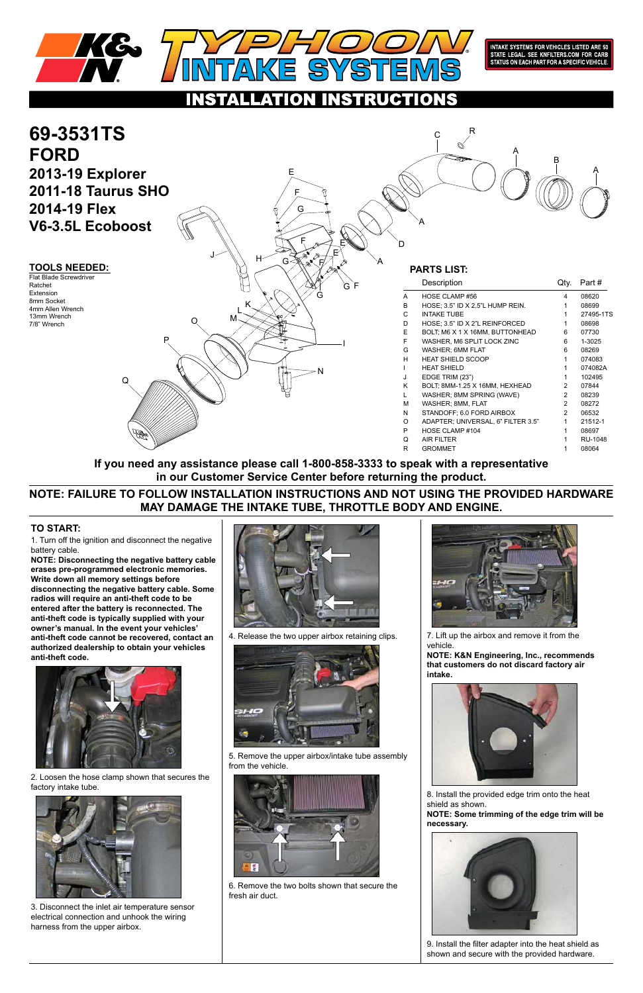1. Turn off the ignition and disconnect the negative battery cable.

**NOTE: Disconnecting the negative battery cable erases pre-programmed electronic memories. Write down all memory settings before disconnecting the negative battery cable. Some radios will require an anti-theft code to be entered after the battery is reconnected. The anti-theft code is typically supplied with your owner's manual. In the event your vehicles' anti-theft code cannot be recovered, contact an authorized dealership to obtain your vehicles anti-theft code.**





## **TO START:**



INTAKE SYSTEMS FOR VEHICLES LISTED ARE 50<br>STATE LEGAL. SEE KNFILTERS.COM FOR CARB<br>STATUS ON EACH PART FOR A SPECIFIC VEHICLE.

ATION. INSTRUCTIONS



2. Loosen the hose clamp shown that secures the factory intake tube.



3. Disconnect the inlet air temperature sensor electrical connection and unhook the wiring harness from the upper airbox.

4. Release the two upper airbox retaining clips.



5. Remove the upper airbox/intake tube assembly from the vehicle.



6. Remove the two bolts shown that secure the fresh air duct.



7. Lift up the airbox and remove it from the vehicle.

**NOTE: K&N Engineering, Inc., recommends that customers do not discard factory air intake.**



8. Install the provided edge trim onto the heat shield as shown.

**NOTE: Some trimming of the edge trim will be necessary.**



9. Install the filter adapter into the heat shield as shown and secure with the provided hardware.

# **NOTE: FAILURE TO FOLLOW INSTALLATION INSTRUCTIONS AND NOT USING THE PROVIDED HARDWARE MAY DAMAGE THE INTAKE TUBE, THROTTLE BODY AND ENGINE.**

**If you need any assistance please call 1-800-858-3333 to speak with a representative in our Customer Service Center before returning the product.**